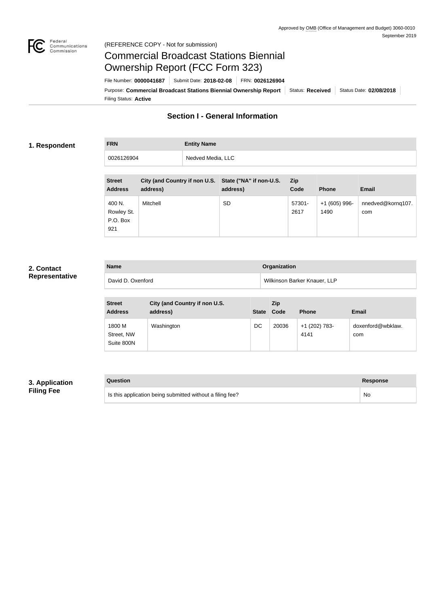

### Federal<br>Communications<br>Commission (REFERENCE COPY - Not for submission)

# Commercial Broadcast Stations Biennial Ownership Report (FCC Form 323)

Filing Status: **Active** Purpose: Commercial Broadcast Stations Biennial Ownership Report Status: Received Status Date: 02/08/2018 File Number: **0000041687** Submit Date: **2018-02-08** FRN: **0026126904**

## **Section I - General Information**

### **1. Respondent**

**FRN Entity Name** 0026126904 Nedved Media, LLC

| <b>Street</b><br><b>Address</b>         | City (and Country if non U.S. State ("NA" if non-U.S.<br>address) | address)  | <b>Zip</b><br>Code | <b>Phone</b>           | <b>Email</b>             |
|-----------------------------------------|-------------------------------------------------------------------|-----------|--------------------|------------------------|--------------------------|
| 400 N.<br>Rowley St.<br>P.O. Box<br>921 | Mitchell                                                          | <b>SD</b> | 57301-<br>2617     | $+1(605)$ 996-<br>1490 | nnedved@kornq107.<br>com |

## **2. Contact Representative**

| <b>Name</b>       | Organization                 |
|-------------------|------------------------------|
| David D. Oxenford | Wilkinson Barker Knauer, LLP |

| <b>Street</b><br><b>Address</b>    | City (and Country if non U.S.<br>address) | <b>State</b> | Zip.<br>Code | <b>Phone</b>          | <b>Email</b>             |
|------------------------------------|-------------------------------------------|--------------|--------------|-----------------------|--------------------------|
| 1800 M<br>Street, NW<br>Suite 800N | Washington                                | DC           | 20036        | +1 (202) 783-<br>4141 | doxenford@wbklaw.<br>com |

## **3. Application Filing Fee**

| Question                                                  | Response |
|-----------------------------------------------------------|----------|
| Is this application being submitted without a filing fee? | No       |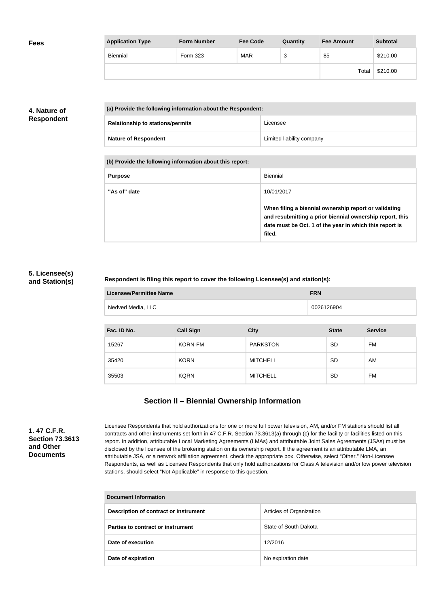| <b>Fees</b> | <b>Application Type</b> | <b>Form Number</b> | <b>Fee Code</b> | Quantity | <b>Fee Amount</b> | <b>Subtotal</b> |
|-------------|-------------------------|--------------------|-----------------|----------|-------------------|-----------------|
|             | Biennial                | Form 323           | <b>MAR</b>      | っ<br>ັບ  | 85                | \$210.00        |
|             |                         |                    |                 |          | Total             | \$210.00        |

## **4. Nature of Respondent**

| (a) Provide the following information about the Respondent: |                           |
|-------------------------------------------------------------|---------------------------|
| <b>Relationship to stations/permits</b>                     | Licensee                  |
| <b>Nature of Respondent</b>                                 | Limited liability company |

**(b) Provide the following information about this report:**

| <b>Purpose</b> | Biennial                                                                                                                                                                               |
|----------------|----------------------------------------------------------------------------------------------------------------------------------------------------------------------------------------|
| "As of" date   | 10/01/2017                                                                                                                                                                             |
|                | When filing a biennial ownership report or validating<br>and resubmitting a prior biennial ownership report, this<br>date must be Oct. 1 of the year in which this report is<br>filed. |

### **5. Licensee(s) and Station(s)**

### **Respondent is filing this report to cover the following Licensee(s) and station(s):**

| <b>Licensee/Permittee Name</b> | <b>FRN</b> |
|--------------------------------|------------|
| Nedved Media, LLC              | 0026126904 |

| Fac. ID No. | <b>Call Sign</b> | <b>City</b>     | <b>State</b> | <b>Service</b> |
|-------------|------------------|-----------------|--------------|----------------|
| 15267       | <b>KORN-FM</b>   | <b>PARKSTON</b> | <b>SD</b>    | FM             |
| 35420       | <b>KORN</b>      | <b>MITCHELL</b> | <b>SD</b>    | AM             |
| 35503       | <b>KQRN</b>      | <b>MITCHELL</b> | <b>SD</b>    | FM             |

## **Section II – Biennial Ownership Information**

**1. 47 C.F.R. Section 73.3613 and Other Documents**

Licensee Respondents that hold authorizations for one or more full power television, AM, and/or FM stations should list all contracts and other instruments set forth in 47 C.F.R. Section 73.3613(a) through (c) for the facility or facilities listed on this report. In addition, attributable Local Marketing Agreements (LMAs) and attributable Joint Sales Agreements (JSAs) must be disclosed by the licensee of the brokering station on its ownership report. If the agreement is an attributable LMA, an attributable JSA, or a network affiliation agreement, check the appropriate box. Otherwise, select "Other." Non-Licensee Respondents, as well as Licensee Respondents that only hold authorizations for Class A television and/or low power television stations, should select "Not Applicable" in response to this question.

| Document Information                  |                          |  |
|---------------------------------------|--------------------------|--|
| Description of contract or instrument | Articles of Organization |  |
| Parties to contract or instrument     | State of South Dakota    |  |
| Date of execution                     | 12/2016                  |  |
| Date of expiration                    | No expiration date       |  |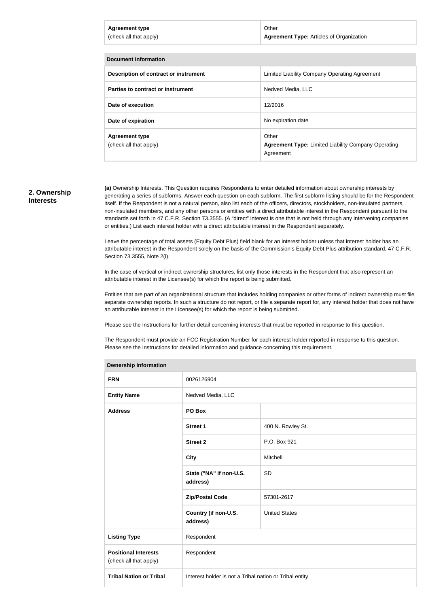| <b>Agreement type</b><br>(check all that apply) | Other<br><b>Agreement Type: Articles of Organization</b>            |
|-------------------------------------------------|---------------------------------------------------------------------|
| <b>Document Information</b>                     |                                                                     |
| Description of contract or instrument           | Limited Liability Company Operating Agreement                       |
| Parties to contract or instrument               | Nedved Media, LLC                                                   |
| Date of execution                               | 12/2016                                                             |
| Date of expiration                              | No expiration date                                                  |
| <b>Agreement type</b><br>(check all that apply) | Other<br><b>Agreement Type: Limited Liability Company Operating</b> |

#### **2. Ownership Interests**

**(a)** Ownership Interests. This Question requires Respondents to enter detailed information about ownership interests by generating a series of subforms. Answer each question on each subform. The first subform listing should be for the Respondent itself. If the Respondent is not a natural person, also list each of the officers, directors, stockholders, non-insulated partners, non-insulated members, and any other persons or entities with a direct attributable interest in the Respondent pursuant to the standards set forth in 47 C.F.R. Section 73.3555. (A "direct" interest is one that is not held through any intervening companies or entities.) List each interest holder with a direct attributable interest in the Respondent separately.

Agreement

Leave the percentage of total assets (Equity Debt Plus) field blank for an interest holder unless that interest holder has an attributable interest in the Respondent solely on the basis of the Commission's Equity Debt Plus attribution standard, 47 C.F.R. Section 73.3555, Note 2(i).

In the case of vertical or indirect ownership structures, list only those interests in the Respondent that also represent an attributable interest in the Licensee(s) for which the report is being submitted.

Entities that are part of an organizational structure that includes holding companies or other forms of indirect ownership must file separate ownership reports. In such a structure do not report, or file a separate report for, any interest holder that does not have an attributable interest in the Licensee(s) for which the report is being submitted.

Please see the Instructions for further detail concerning interests that must be reported in response to this question.

**Ownership Information**

The Respondent must provide an FCC Registration Number for each interest holder reported in response to this question. Please see the Instructions for detailed information and guidance concerning this requirement.

| <b>Ownership information</b>                          |                                                         |                      |  |
|-------------------------------------------------------|---------------------------------------------------------|----------------------|--|
| <b>FRN</b>                                            | 0026126904                                              |                      |  |
| <b>Entity Name</b>                                    | Nedved Media, LLC                                       |                      |  |
| <b>Address</b>                                        | PO Box                                                  |                      |  |
|                                                       | <b>Street 1</b>                                         | 400 N. Rowley St.    |  |
|                                                       | <b>Street 2</b>                                         | P.O. Box 921         |  |
|                                                       | <b>City</b>                                             | Mitchell             |  |
|                                                       | State ("NA" if non-U.S.<br>address)                     | SD                   |  |
|                                                       | <b>Zip/Postal Code</b>                                  | 57301-2617           |  |
|                                                       | Country (if non-U.S.<br>address)                        | <b>United States</b> |  |
| <b>Listing Type</b>                                   | Respondent                                              |                      |  |
| <b>Positional Interests</b><br>(check all that apply) | Respondent                                              |                      |  |
| <b>Tribal Nation or Tribal</b>                        | Interest holder is not a Tribal nation or Tribal entity |                      |  |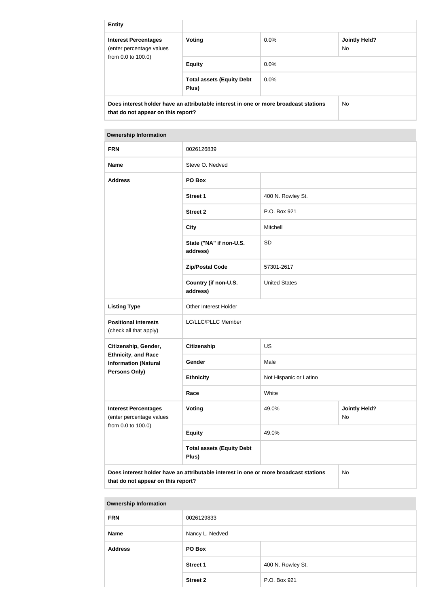| <b>Entity</b>                                                                        |                                           |         |                             |
|--------------------------------------------------------------------------------------|-------------------------------------------|---------|-----------------------------|
| <b>Interest Percentages</b><br>(enter percentage values<br>from 0.0 to 100.0)        | Voting                                    | $0.0\%$ | <b>Jointly Held?</b><br>No. |
|                                                                                      | <b>Equity</b>                             | $0.0\%$ |                             |
|                                                                                      | <b>Total assets (Equity Debt</b><br>Plus) | 0.0%    |                             |
| Does interest holder have an attributable interest in one or more broadcast stations |                                           |         | <b>No</b>                   |

**that do not appear on this report?**

## **Ownership Information FRN** 0026126839 **Name** Steve O. Nedved **Address PO Box Street 1** 400 N. Rowley St. **Street 2** P.O. Box 921 **City** Mitchell **State ("NA" if non-U.S. address)** SD **Zip/Postal Code** 57301-2617 **Country (if non-U.S. address)** United States **Listing Type Calcularist Contracts** Other Interest Holder **Positional Interests** (check all that apply) LC/LLC/PLLC Member **Citizenship, Gender, Ethnicity, and Race Information (Natural Persons Only) Citizenship** US Gender Male **Ethnicity** Not Hispanic or Latino **Race** White **Interest Percentages** (enter percentage values from 0.0 to 100.0) **Voting Voting Jointly Held?** No **Equity** 49.0% **Total assets (Equity Debt Plus)**

**Does interest holder have an attributable interest in one or more broadcast stations that do not appear on this report?**

## No

#### **Ownership Information**

| <b>FRN</b>     | 0026129833      |                   |
|----------------|-----------------|-------------------|
| <b>Name</b>    | Nancy L. Nedved |                   |
| <b>Address</b> | PO Box          |                   |
|                | <b>Street 1</b> | 400 N. Rowley St. |
|                | <b>Street 2</b> | P.O. Box 921      |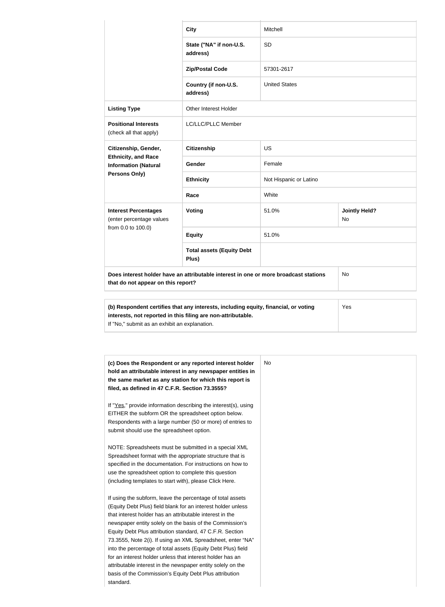|                                                                                                                                  | <b>City</b>                                                                                                                                         | Mitchell               |                            |
|----------------------------------------------------------------------------------------------------------------------------------|-----------------------------------------------------------------------------------------------------------------------------------------------------|------------------------|----------------------------|
|                                                                                                                                  | State ("NA" if non-U.S.<br>address)                                                                                                                 | <b>SD</b>              |                            |
|                                                                                                                                  | <b>Zip/Postal Code</b>                                                                                                                              | 57301-2617             |                            |
|                                                                                                                                  | Country (if non-U.S.<br>address)                                                                                                                    | <b>United States</b>   |                            |
| <b>Listing Type</b>                                                                                                              | <b>Other Interest Holder</b>                                                                                                                        |                        |                            |
| <b>Positional Interests</b><br>(check all that apply)                                                                            | LC/LLC/PLLC Member                                                                                                                                  |                        |                            |
| Citizenship, Gender,<br><b>Ethnicity, and Race</b><br><b>Information (Natural</b><br>Persons Only)                               | <b>Citizenship</b>                                                                                                                                  | <b>US</b>              |                            |
|                                                                                                                                  | Gender                                                                                                                                              | Female                 |                            |
|                                                                                                                                  | <b>Ethnicity</b>                                                                                                                                    | Not Hispanic or Latino |                            |
|                                                                                                                                  | Race                                                                                                                                                | White                  |                            |
| <b>Interest Percentages</b><br>(enter percentage values<br>from 0.0 to 100.0)                                                    | Voting                                                                                                                                              | 51.0%                  | <b>Jointly Held?</b><br>No |
|                                                                                                                                  | <b>Equity</b>                                                                                                                                       | 51.0%                  |                            |
|                                                                                                                                  | <b>Total assets (Equity Debt</b><br>Plus)                                                                                                           |                        |                            |
| Does interest holder have an attributable interest in one or more broadcast stations<br>No<br>that do not appear on this report? |                                                                                                                                                     |                        |                            |
| If "No," submit as an exhibit an explanation.                                                                                    | (b) Respondent certifies that any interests, including equity, financial, or voting<br>interests, not reported in this filing are non-attributable. |                        | Yes                        |